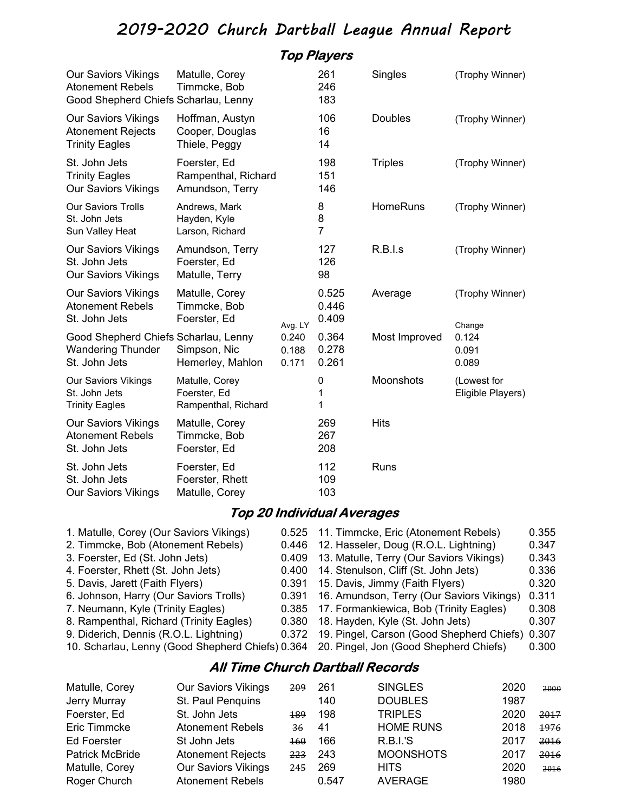# 2019-2020 Church Dartball League Annual Report

|  | <b>Top Players</b> |
|--|--------------------|
|--|--------------------|

| Our Saviors Vikings<br><b>Atonement Rebels</b><br>Good Shepherd Chiefs Scharlau, Lenny | Matulle, Corey<br>Timmcke, Bob                         |                         | 261<br>246<br>183        | Singles        | (Trophy Winner)                  |
|----------------------------------------------------------------------------------------|--------------------------------------------------------|-------------------------|--------------------------|----------------|----------------------------------|
| <b>Our Saviors Vikings</b><br><b>Atonement Rejects</b><br><b>Trinity Eagles</b>        | Hoffman, Austyn<br>Cooper, Douglas<br>Thiele, Peggy    |                         | 106<br>16<br>14          | <b>Doubles</b> | (Trophy Winner)                  |
| St. John Jets<br><b>Trinity Eagles</b><br><b>Our Saviors Vikings</b>                   | Foerster, Ed<br>Rampenthal, Richard<br>Amundson, Terry |                         | 198<br>151<br>146        | <b>Triples</b> | (Trophy Winner)                  |
| <b>Our Saviors Trolls</b><br>St. John Jets<br>Sun Valley Heat                          | Andrews, Mark<br>Hayden, Kyle<br>Larson, Richard       |                         | 8<br>8<br>$\overline{7}$ | HomeRuns       | (Trophy Winner)                  |
| Our Saviors Vikings<br>St. John Jets<br><b>Our Saviors Vikings</b>                     | Amundson, Terry<br>Foerster, Ed<br>Matulle, Terry      |                         | 127<br>126<br>98         | R.B.I.s        | (Trophy Winner)                  |
| <b>Our Saviors Vikings</b><br><b>Atonement Rebels</b><br>St. John Jets                 | Matulle, Corey<br>Timmcke, Bob<br>Foerster, Ed         | Avg. LY                 | 0.525<br>0.446<br>0.409  | Average        | (Trophy Winner)<br>Change        |
| Good Shepherd Chiefs Scharlau, Lenny<br><b>Wandering Thunder</b><br>St. John Jets      | Simpson, Nic<br>Hemerley, Mahlon                       | 0.240<br>0.188<br>0.171 | 0.364<br>0.278<br>0.261  | Most Improved  | 0.124<br>0.091<br>0.089          |
| Our Saviors Vikings<br>St. John Jets<br><b>Trinity Eagles</b>                          | Matulle, Corey<br>Foerster, Ed<br>Rampenthal, Richard  |                         | $\pmb{0}$<br>1<br>1      | Moonshots      | (Lowest for<br>Eligible Players) |
| <b>Our Saviors Vikings</b><br><b>Atonement Rebels</b><br>St. John Jets                 | Matulle, Corey<br>Timmcke, Bob<br>Foerster, Ed         |                         | 269<br>267<br>208        | <b>Hits</b>    |                                  |
| St. John Jets<br>St. John Jets<br><b>Our Saviors Vikings</b>                           | Foerster, Ed<br>Foerster, Rhett<br>Matulle, Corey      |                         | 112<br>109<br>103        | Runs           |                                  |

### Top 20 Individual Averages

| 1. Matulle, Corey (Our Saviors Vikings)                                                 |       | 0.525 11. Timmcke, Eric (Atonement Rebels)            | 0.355 |
|-----------------------------------------------------------------------------------------|-------|-------------------------------------------------------|-------|
| 2. Timmcke, Bob (Atonement Rebels)                                                      |       | 0.446 12. Hasseler, Doug (R.O.L. Lightning)           | 0.347 |
| 3. Foerster, Ed (St. John Jets)                                                         | 0.409 | 13. Matulle, Terry (Our Saviors Vikings)              | 0.343 |
| 4. Foerster, Rhett (St. John Jets)                                                      |       | 0.400 14. Stenulson, Cliff (St. John Jets)            | 0.336 |
| 5. Davis, Jarett (Faith Flyers)                                                         |       | 0.391 15. Davis, Jimmy (Faith Flyers)                 | 0.320 |
| 6. Johnson, Harry (Our Saviors Trolls)                                                  |       | 0.391 16. Amundson, Terry (Our Saviors Vikings)       | 0.311 |
| 7. Neumann, Kyle (Trinity Eagles)                                                       |       | 0.385 17. Formankiewica, Bob (Trinity Eagles)         | 0.308 |
| 8. Rampenthal, Richard (Trinity Eagles)                                                 | 0.380 | 18. Hayden, Kyle (St. John Jets)                      | 0.307 |
| 9. Diderich, Dennis (R.O.L. Lightning)                                                  |       | 0.372 19. Pingel, Carson (Good Shepherd Chiefs) 0.307 |       |
| 10. Scharlau, Lenny (Good Shepherd Chiefs) 0.364 20. Pingel, Jon (Good Shepherd Chiefs) |       |                                                       | 0.300 |
|                                                                                         |       |                                                       |       |

#### All Time Church Dartball Records

| Matulle, Corey         | <b>Our Saviors Vikings</b> | 209 | 261   | <b>SINGLES</b>   | 2020 | 2000 |
|------------------------|----------------------------|-----|-------|------------------|------|------|
| Jerry Murray           | St. Paul Penquins          |     | 140   | <b>DOUBLES</b>   | 1987 |      |
| Foerster, Ed           | St. John Jets              | 189 | 198   | <b>TRIPLES</b>   | 2020 | 2017 |
| Eric Timmcke           | <b>Atonement Rebels</b>    | 36  | 41    | <b>HOME RUNS</b> | 2018 | 1976 |
| <b>Ed Foerster</b>     | St John Jets               | 160 | 166   | R.B.I.S          | 2017 | 2016 |
| <b>Patrick McBride</b> | <b>Atonement Rejects</b>   | 223 | 243   | <b>MOONSHOTS</b> | 2017 | 2016 |
| Matulle, Corey         | <b>Our Saviors Vikings</b> | 245 | 269   | <b>HITS</b>      | 2020 | 2016 |
| Roger Church           | <b>Atonement Rebels</b>    |     | 0.547 | <b>AVERAGE</b>   | 1980 |      |